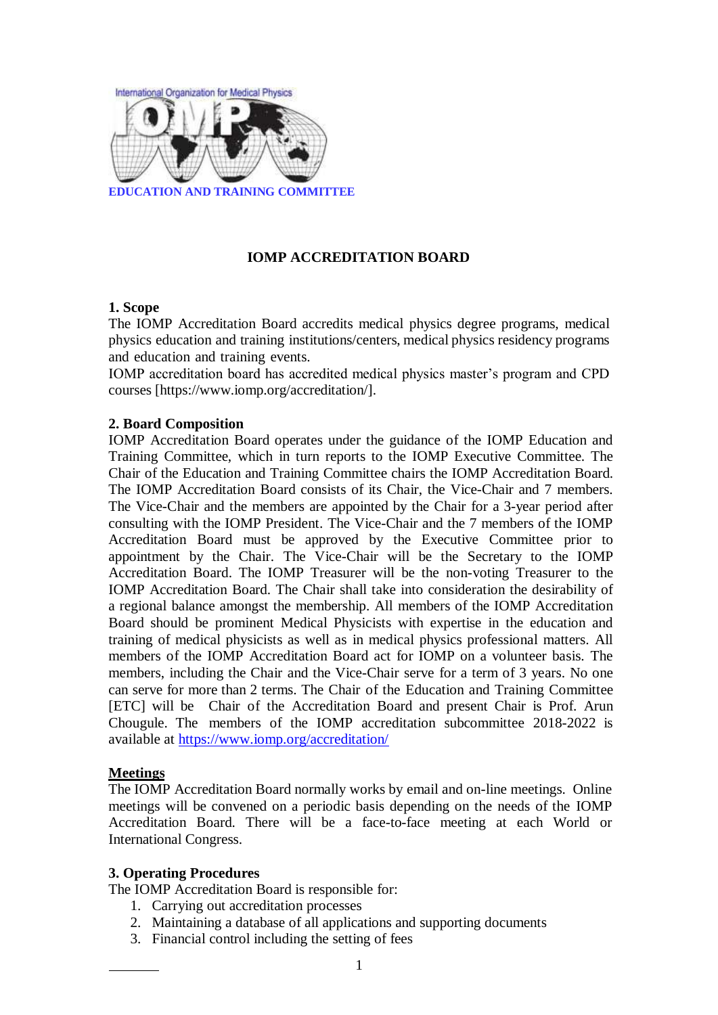

## **IOMP ACCREDITATION BOARD**

### **1. Scope**

The IOMP Accreditation Board accredits medical physics degree programs, medical physics education and training institutions/centers, medical physics residency programs and education and training events.

IOMP accreditation board has accredited medical physics master's program and CPD courses [https://www.iomp.org/accreditation/].

### **2. Board Composition**

IOMP Accreditation Board operates under the guidance of the IOMP Education and Training Committee, which in turn reports to the IOMP Executive Committee. The Chair of the Education and Training Committee chairs the IOMP Accreditation Board. The IOMP Accreditation Board consists of its Chair, the Vice-Chair and 7 members. The Vice-Chair and the members are appointed by the Chair for a 3-year period after consulting with the IOMP President. The Vice-Chair and the 7 members of the IOMP Accreditation Board must be approved by the Executive Committee prior to appointment by the Chair. The Vice-Chair will be the Secretary to the IOMP Accreditation Board. The IOMP Treasurer will be the non-voting Treasurer to the IOMP Accreditation Board. The Chair shall take into consideration the desirability of a regional balance amongst the membership. All members of the IOMP Accreditation Board should be prominent Medical Physicists with expertise in the education and training of medical physicists as well as in medical physics professional matters. All members of the IOMP Accreditation Board act for IOMP on a volunteer basis. The members, including the Chair and the Vice-Chair serve for a term of 3 years. No one can serve for more than 2 terms. The Chair of the Education and Training Committee [ETC] will be Chair of the Accreditation Board and present Chair is Prof. Arun Chougule. The members of the IOMP accreditation subcommittee 2018-2022 is available at<https://www.iomp.org/accreditation/>

#### **Meetings**

The IOMP Accreditation Board normally works by email and on-line meetings. Online meetings will be convened on a periodic basis depending on the needs of the IOMP Accreditation Board. There will be a face-to-face meeting at each World or International Congress.

#### **3. Operating Procedures**

The IOMP Accreditation Board is responsible for:

- 1. Carrying out accreditation processes
- 2. Maintaining a database of all applications and supporting documents
- 3. Financial control including the setting of fees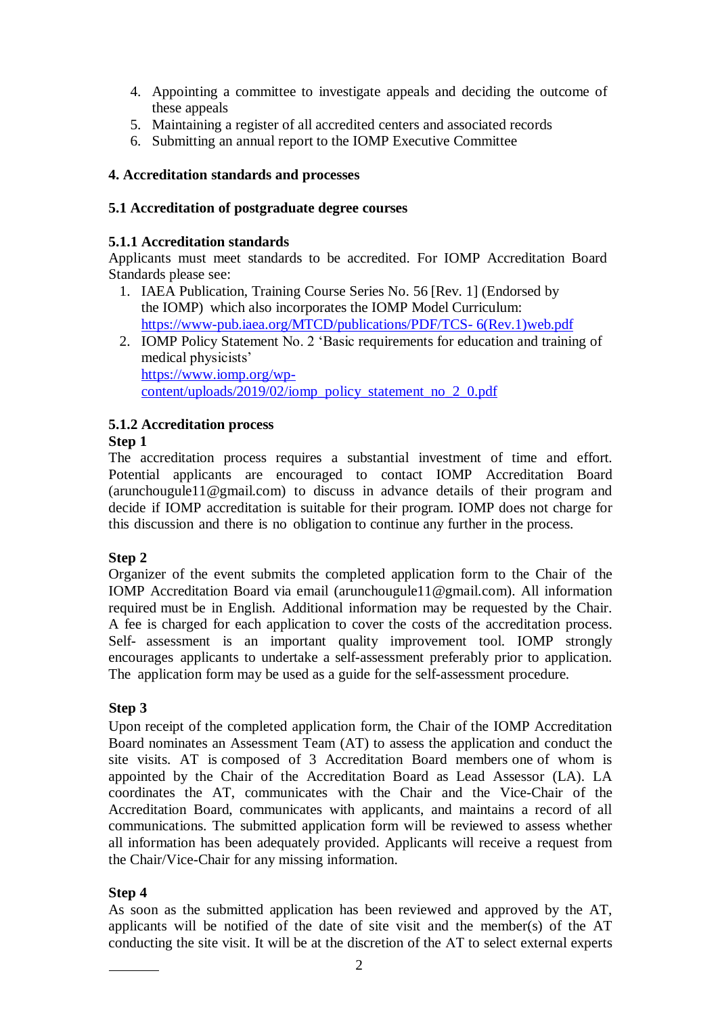- 4. Appointing a committee to investigate appeals and deciding the outcome of these appeals
- 5. Maintaining a register of all accredited centers and associated records
- 6. Submitting an annual report to the IOMP Executive Committee

# **4. Accreditation standards and processes**

## **5.1 Accreditation of postgraduate degree courses**

## **5.1.1 Accreditation standards**

Applicants must meet standards to be accredited. For IOMP Accreditation Board Standards please see:

- 1. IAEA Publication, Training Course Series No. 56 [Rev. 1] (Endorsed by the IOMP) which also incorporates the IOMP Model Curriculum: <https://www-pub.iaea.org/MTCD/publications/PDF/TCS-> 6(Rev.1)web.pdf
- 2. IOMP Policy Statement No. 2 'Basic requirements for education and training of medical physicists' [https://www.iomp.org/wp](https://www.iomp.org/wp-content/uploads/2019/02/iomp_policy_statement_no_2_0.pdf)[content/uploads/2019/02/iomp\\_policy\\_statement\\_no\\_2\\_0.pdf](https://www.iomp.org/wp-content/uploads/2019/02/iomp_policy_statement_no_2_0.pdf)

# **5.1.2 Accreditation process**

## **Step 1**

The accreditation process requires a substantial investment of time and effort. Potential applicants are encouraged to contact IOMP Accreditation Board (arunchougule11@gmail.com) to discuss in advance details of their program and decide if IOMP accreditation is suitable for their program. IOMP does not charge for this discussion and there is no obligation to continue any further in the process.

## **Step 2**

Organizer of the event submits the completed application form to the Chair of the IOMP Accreditation Board via email (arunchougule11@gmail.com). All information required must be in English. Additional information may be requested by the Chair. A fee is charged for each application to cover the costs of the accreditation process. Self- assessment is an important quality improvement tool. IOMP strongly encourages applicants to undertake a self-assessment preferably prior to application. The application form may be used as a guide for the self-assessment procedure.

# **Step 3**

Upon receipt of the completed application form, the Chair of the IOMP Accreditation Board nominates an Assessment Team (AT) to assess the application and conduct the site visits. AT is composed of 3 Accreditation Board members one of whom is appointed by the Chair of the Accreditation Board as Lead Assessor (LA). LA coordinates the AT, communicates with the Chair and the Vice-Chair of the Accreditation Board, communicates with applicants, and maintains a record of all communications. The submitted application form will be reviewed to assess whether all information has been adequately provided. Applicants will receive a request from the Chair/Vice-Chair for any missing information.

## **Step 4**

As soon as the submitted application has been reviewed and approved by the AT, applicants will be notified of the date of site visit and the member(s) of the AT conducting the site visit. It will be at the discretion of the ΑT to select external experts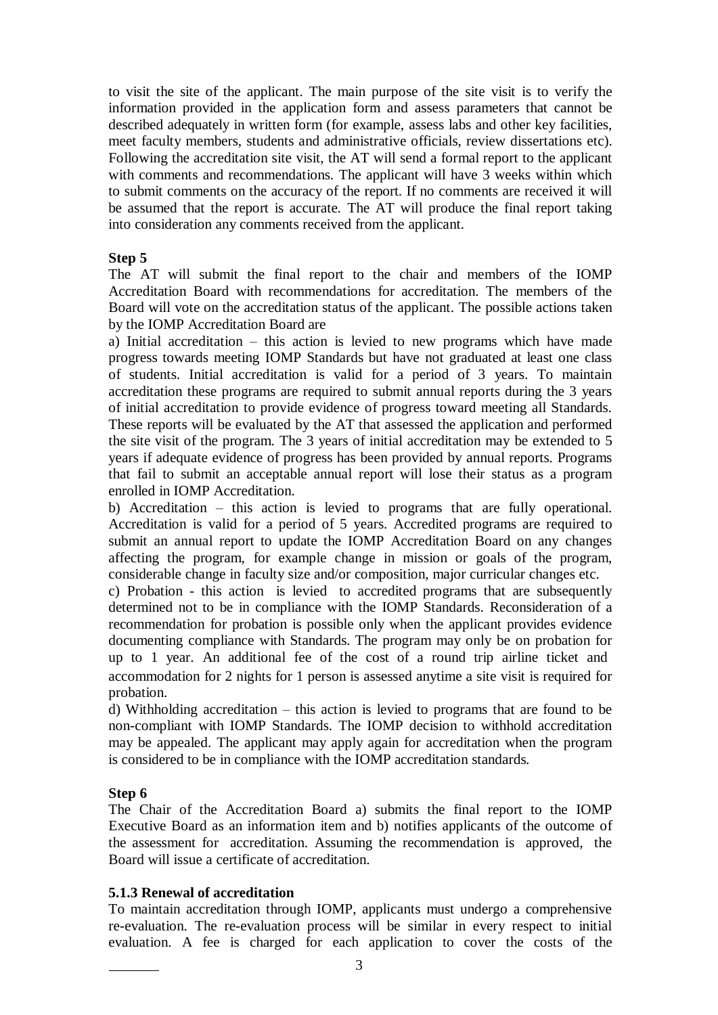to visit the site of the applicant. The main purpose of the site visit is to verify the information provided in the application form and assess parameters that cannot be described adequately in written form (for example, assess labs and other key facilities, meet faculty members, students and administrative officials, review dissertations etc). Following the accreditation site visit, the AT will send a formal report to the applicant with comments and recommendations. The applicant will have 3 weeks within which to submit comments on the accuracy of the report. If no comments are received it will be assumed that the report is accurate. The AT will produce the final report taking into consideration any comments received from the applicant.

### **Step 5**

The AT will submit the final report to the chair and members of the IOMP Accreditation Board with recommendations for accreditation. The members of the Board will vote on the accreditation status of the applicant. The possible actions taken by the IOMP Accreditation Board are

a) Initial accreditation – this action is levied to new programs which have made progress towards meeting IOMP Standards but have not graduated at least one class of students. Initial accreditation is valid for a period of 3 years. To maintain accreditation these programs are required to submit annual reports during the 3 years of initial accreditation to provide evidence of progress toward meeting all Standards. These reports will be evaluated by the AT that assessed the application and performed the site visit of the program. The 3 years of initial accreditation may be extended to 5 years if adequate evidence of progress has been provided by annual reports. Programs that fail to submit an acceptable annual report will lose their status as a program enrolled in IOMP Accreditation.

b) Accreditation – this action is levied to programs that are fully operational. Accreditation is valid for a period of 5 years. Accredited programs are required to submit an annual report to update the IOMP Accreditation Board on any changes affecting the program, for example change in mission or goals of the program, considerable change in faculty size and/or composition, major curricular changes etc.

c) Probation - this action is levied to accredited programs that are subsequently determined not to be in compliance with the IOMP Standards. Reconsideration of a recommendation for probation is possible only when the applicant provides evidence documenting compliance with Standards. The program may only be on probation for up to 1 year. An additional fee of the cost of a round trip airline ticket and accommodation for 2 nights for 1 person is assessed anytime a site visit is required for probation.

d) Withholding accreditation – this action is levied to programs that are found to be non-compliant with IOMP Standards. The IOMP decision to withhold accreditation may be appealed. The applicant may apply again for accreditation when the program is considered to be in compliance with the IOMP accreditation standards.

## **Step 6**

The Chair of the Accreditation Board a) submits the final report to the IOMP Executive Board as an information item and b) notifies applicants of the outcome of the assessment for accreditation. Assuming the recommendation is approved, the Board will issue a certificate of accreditation.

## **5.1.3 Renewal of accreditation**

To maintain accreditation through IOMP, applicants must undergo a comprehensive re-evaluation. The re-evaluation process will be similar in every respect to initial evaluation. A fee is charged for each application to cover the costs of the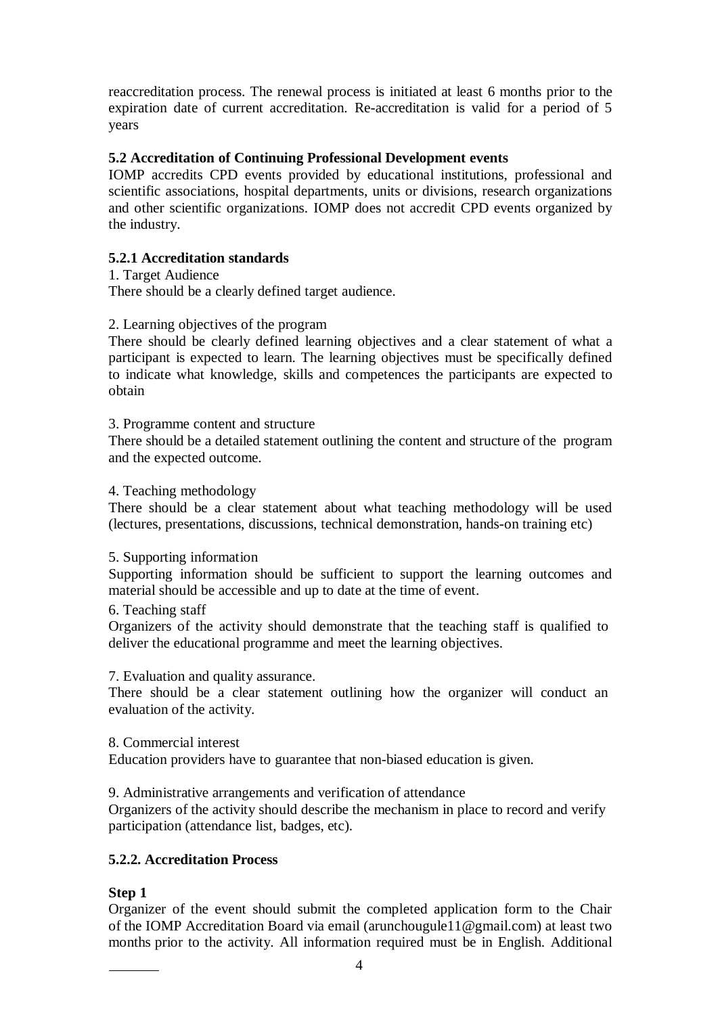reaccreditation process. The renewal process is initiated at least 6 months prior to the expiration date of current accreditation. Re-accreditation is valid for a period of 5 years

# **5.2 Accreditation of Continuing Professional Development events**

IOMP accredits CPD events provided by educational institutions, professional and scientific associations, hospital departments, units or divisions, research organizations and other scientific organizations. IOMP does not accredit CPD events organized by the industry.

# **5.2.1 Accreditation standards**

1. Target Audience

There should be a clearly defined target audience.

### 2. Learning objectives of the program

There should be clearly defined learning objectives and a clear statement of what a participant is expected to learn. The learning objectives must be specifically defined to indicate what knowledge, skills and competences the participants are expected to obtain

#### 3. Programme content and structure

There should be a detailed statement outlining the content and structure of the program and the expected outcome.

4. Teaching methodology

There should be a clear statement about what teaching methodology will be used (lectures, presentations, discussions, technical demonstration, hands-on training etc)

5. Supporting information

Supporting information should be sufficient to support the learning outcomes and material should be accessible and up to date at the time of event.

6. Teaching staff

Organizers of the activity should demonstrate that the teaching staff is qualified to deliver the educational programme and meet the learning objectives.

7. Evaluation and quality assurance.

There should be a clear statement outlining how the organizer will conduct an evaluation of the activity.

8. Commercial interest

Education providers have to guarantee that non-biased education is given.

9. Administrative arrangements and verification of attendance

Organizers of the activity should describe the mechanism in place to record and verify participation (attendance list, badges, etc).

# **5.2.2. Accreditation Process**

## **Step 1**

Organizer of the event should submit the completed application form to the Chair of the IOMP Accreditation Board via email (arunchougule11@gmail.com) at least two months prior to the activity. All information required must be in English. Additional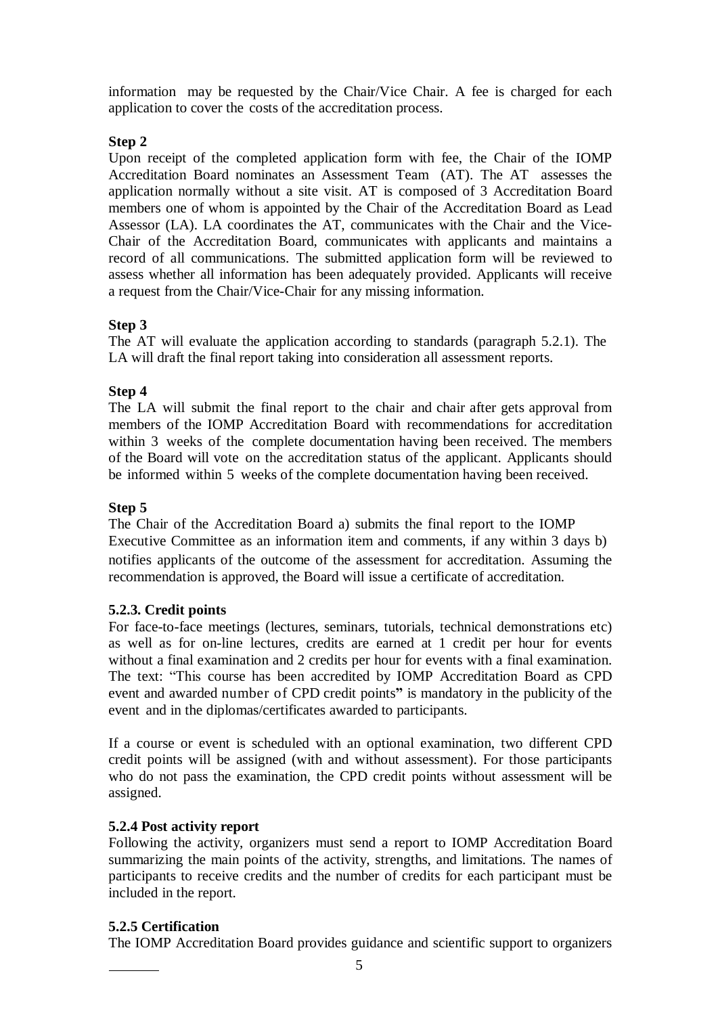information may be requested by the Chair/Vice Chair. A fee is charged for each application to cover the costs of the accreditation process.

# **Step 2**

Upon receipt of the completed application form with fee, the Chair of the IOMP Accreditation Board nominates an Assessment Team (AT). The AT assesses the application normally without a site visit. AT is composed of 3 Accreditation Board members one of whom is appointed by the Chair of the Accreditation Board as Lead Assessor (LA). LA coordinates the AT, communicates with the Chair and the Vice-Chair of the Accreditation Board, communicates with applicants and maintains a record of all communications. The submitted application form will be reviewed to assess whether all information has been adequately provided. Applicants will receive a request from the Chair/Vice-Chair for any missing information.

# **Step 3**

The AT will evaluate the application according to standards (paragraph 5.2.1). The LA will draft the final report taking into consideration all assessment reports.

# **Step 4**

The LA will submit the final report to the chair and chair after gets approval from members of the IOMP Accreditation Board with recommendations for accreditation within 3 weeks of the complete documentation having been received. The members of the Board will vote on the accreditation status of the applicant. Applicants should be informed within 5 weeks of the complete documentation having been received.

# **Step 5**

The Chair of the Accreditation Board a) submits the final report to the IOMP Executive Committee as an information item and comments, if any within 3 days b) notifies applicants of the outcome of the assessment for accreditation. Assuming the recommendation is approved, the Board will issue a certificate of accreditation.

## **5.2.3. Credit points**

For face-to-face meetings (lectures, seminars, tutorials, technical demonstrations etc) as well as for on-line lectures, credits are earned at 1 credit per hour for events without a final examination and 2 credits per hour for events with a final examination. The text: "This course has been accredited by IOMP Accreditation Board as CPD event and awarded number of CPD credit points**"** is mandatory in the publicity of the event and in the diplomas/certificates awarded to participants.

If a course or event is scheduled with an optional examination, two different CPD credit points will be assigned (with and without assessment). For those participants who do not pass the examination, the CPD credit points without assessment will be assigned.

## **5.2.4 Post activity report**

Following the activity, organizers must send a report to IOMP Accreditation Board summarizing the main points of the activity, strengths, and limitations. The names of participants to receive credits and the number of credits for each participant must be included in the report.

## **5.2.5 Certification**

The IOMP Accreditation Board provides guidance and scientific support to organizers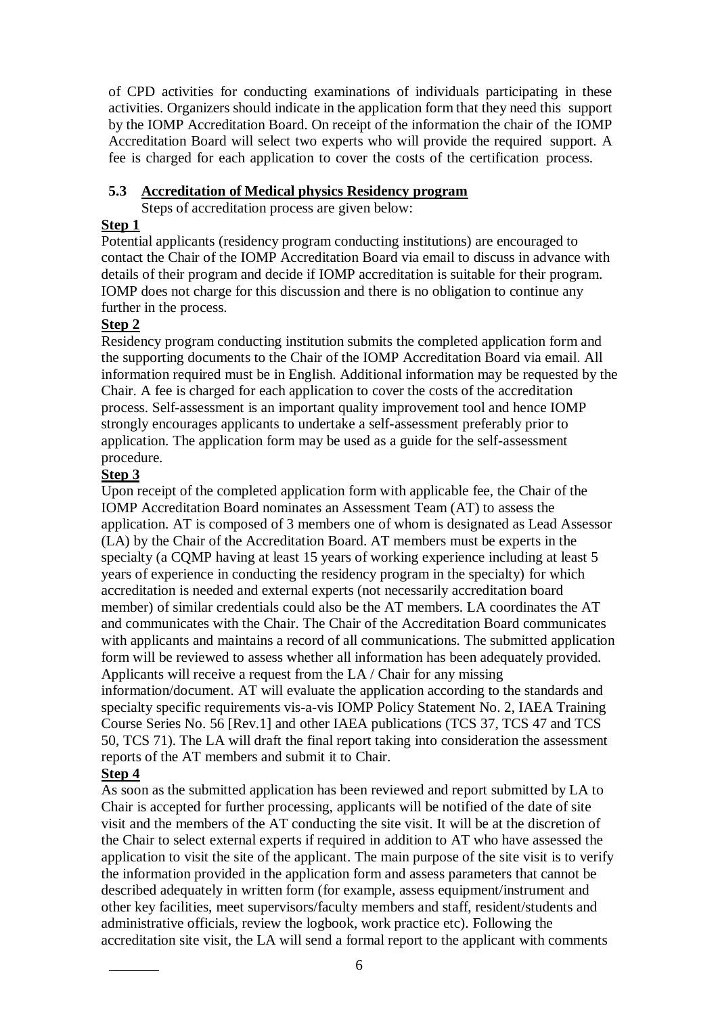of CPD activities for conducting examinations of individuals participating in these activities. Organizers should indicate in the application form that they need this support by the IOMP Accreditation Board. On receipt of the information the chair of the IOMP Accreditation Board will select two experts who will provide the required support. A fee is charged for each application to cover the costs of the certification process.

## **5.3 Accreditation of Medical physics Residency program**

Steps of accreditation process are given below:

## **Step 1**

Potential applicants (residency program conducting institutions) are encouraged to contact the Chair of the IOMP Accreditation Board via email to discuss in advance with details of their program and decide if IOMP accreditation is suitable for their program. IOMP does not charge for this discussion and there is no obligation to continue any further in the process.

# **Step 2**

Residency program conducting institution submits the completed application form and the supporting documents to the Chair of the IOMP Accreditation Board via email. All information required must be in English. Additional information may be requested by the Chair. A fee is charged for each application to cover the costs of the accreditation process. Self-assessment is an important quality improvement tool and hence IOMP strongly encourages applicants to undertake a self-assessment preferably prior to application. The application form may be used as a guide for the self-assessment procedure.

# **Step 3**

Upon receipt of the completed application form with applicable fee, the Chair of the IOMP Accreditation Board nominates an Assessment Team (AT) to assess the application. AT is composed of 3 members one of whom is designated as Lead Assessor (LA) by the Chair of the Accreditation Board. AT members must be experts in the specialty (a CQMP having at least 15 years of working experience including at least 5 years of experience in conducting the residency program in the specialty) for which accreditation is needed and external experts (not necessarily accreditation board member) of similar credentials could also be the AT members. LA coordinates the AT and communicates with the Chair. The Chair of the Accreditation Board communicates with applicants and maintains a record of all communications. The submitted application form will be reviewed to assess whether all information has been adequately provided. Applicants will receive a request from the LA / Chair for any missing information/document. AT will evaluate the application according to the standards and specialty specific requirements vis-a-vis IOMP Policy Statement No. 2, IAEA Training Course Series No. 56 [Rev.1] and other IAEA publications (TCS 37, TCS 47 and TCS 50, TCS 71). The LA will draft the final report taking into consideration the assessment reports of the AT members and submit it to Chair.

# **Step 4**

As soon as the submitted application has been reviewed and report submitted by LA to Chair is accepted for further processing, applicants will be notified of the date of site visit and the members of the AT conducting the site visit. It will be at the discretion of the Chair to select external experts if required in addition to AT who have assessed the application to visit the site of the applicant. The main purpose of the site visit is to verify the information provided in the application form and assess parameters that cannot be described adequately in written form (for example, assess equipment/instrument and other key facilities, meet supervisors/faculty members and staff, resident/students and administrative officials, review the logbook, work practice etc). Following the accreditation site visit, the LA will send a formal report to the applicant with comments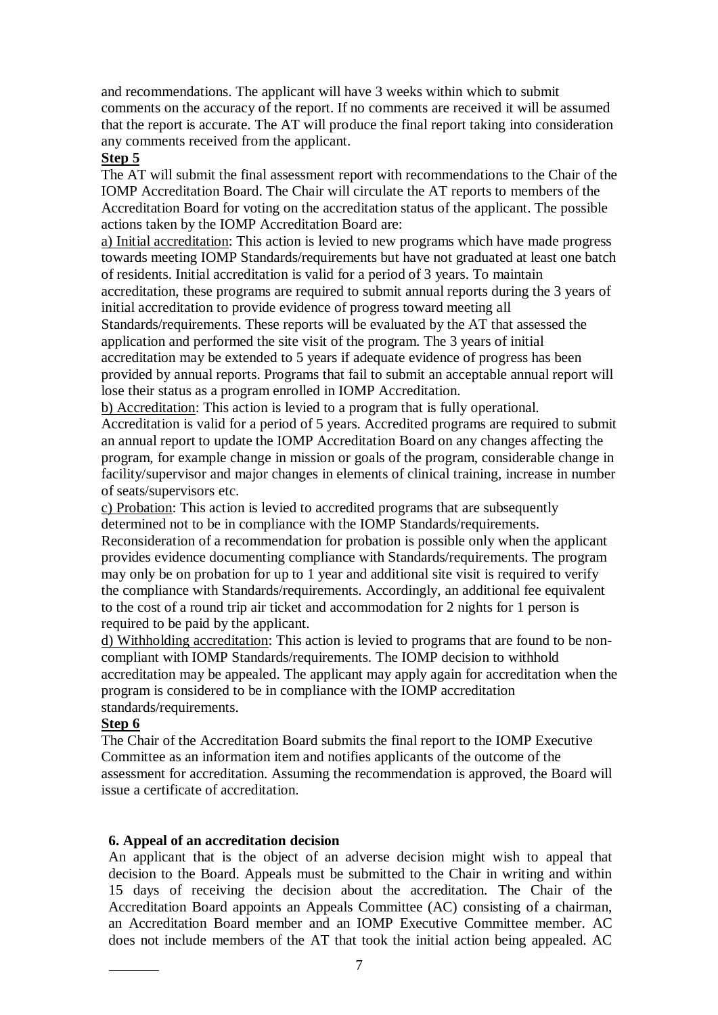and recommendations. The applicant will have 3 weeks within which to submit comments on the accuracy of the report. If no comments are received it will be assumed that the report is accurate. The AT will produce the final report taking into consideration any comments received from the applicant.

#### **Step 5**

The AT will submit the final assessment report with recommendations to the Chair of the IOMP Accreditation Board. The Chair will circulate the AT reports to members of the Accreditation Board for voting on the accreditation status of the applicant. The possible actions taken by the IOMP Accreditation Board are:

a) Initial accreditation: This action is levied to new programs which have made progress towards meeting IOMP Standards/requirements but have not graduated at least one batch of residents. Initial accreditation is valid for a period of 3 years. To maintain accreditation, these programs are required to submit annual reports during the 3 years of initial accreditation to provide evidence of progress toward meeting all Standards/requirements. These reports will be evaluated by the AT that assessed the application and performed the site visit of the program. The 3 years of initial accreditation may be extended to 5 years if adequate evidence of progress has been provided by annual reports. Programs that fail to submit an acceptable annual report will lose their status as a program enrolled in IOMP Accreditation.

b) Accreditation: This action is levied to a program that is fully operational. Accreditation is valid for a period of 5 years. Accredited programs are required to submit an annual report to update the IOMP Accreditation Board on any changes affecting the program, for example change in mission or goals of the program, considerable change in facility/supervisor and major changes in elements of clinical training, increase in number of seats/supervisors etc.

c) Probation: This action is levied to accredited programs that are subsequently determined not to be in compliance with the IOMP Standards/requirements. Reconsideration of a recommendation for probation is possible only when the applicant provides evidence documenting compliance with Standards/requirements. The program may only be on probation for up to 1 year and additional site visit is required to verify the compliance with Standards/requirements. Accordingly, an additional fee equivalent to the cost of a round trip air ticket and accommodation for 2 nights for 1 person is required to be paid by the applicant.

d) Withholding accreditation: This action is levied to programs that are found to be noncompliant with IOMP Standards/requirements. The IOMP decision to withhold accreditation may be appealed. The applicant may apply again for accreditation when the program is considered to be in compliance with the IOMP accreditation standards/requirements.

#### **Step 6**

The Chair of the Accreditation Board submits the final report to the IOMP Executive Committee as an information item and notifies applicants of the outcome of the assessment for accreditation. Assuming the recommendation is approved, the Board will issue a certificate of accreditation.

#### **6. Appeal of an accreditation decision**

An applicant that is the object of an adverse decision might wish to appeal that decision to the Board. Appeals must be submitted to the Chair in writing and within 15 days of receiving the decision about the accreditation. The Chair of the Accreditation Board appoints an Appeals Committee (AC) consisting of a chairman, an Accreditation Board member and an IOMP Executive Committee member. AC does not include members of the AT that took the initial action being appealed. AC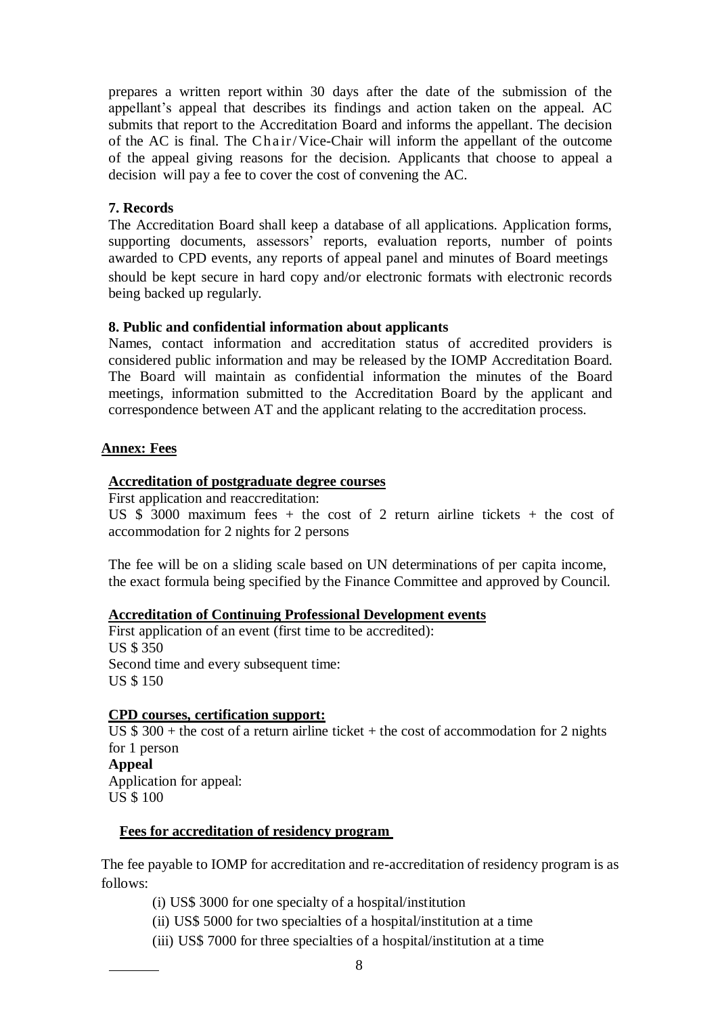prepares a written report within 30 days after the date of the submission of the appellant's appeal that describes its findings and action taken on the appeal. AC submits that report to the Accreditation Board and informs the appellant. The decision of the AC is final. The Chair/Vice-Chair will inform the appellant of the outcome of the appeal giving reasons for the decision. Applicants that choose to appeal a decision will pay a fee to cover the cost of convening the AC.

### **7. Records**

The Accreditation Board shall keep a database of all applications. Application forms, supporting documents, assessors' reports, evaluation reports, number of points awarded to CPD events, any reports of appeal panel and minutes of Board meetings should be kept secure in hard copy and/or electronic formats with electronic records being backed up regularly.

### **8. Public and confidential information about applicants**

Names, contact information and accreditation status of accredited providers is considered public information and may be released by the IOMP Accreditation Board. The Board will maintain as confidential information the minutes of the Board meetings, information submitted to the Accreditation Board by the applicant and correspondence between AT and the applicant relating to the accreditation process.

### **Annex: Fees**

### **Accreditation of postgraduate degree courses**

First application and reaccreditation:

US  $\overline{\$}$  3000 maximum fees + the cost of 2 return airline tickets + the cost of accommodation for 2 nights for 2 persons

The fee will be on a sliding scale based on UN determinations of per capita income, the exact formula being specified by the Finance Committee and approved by Council.

#### **Accreditation of Continuing Professional Development events**

First application of an event (first time to be accredited): US \$ 350 Second time and every subsequent time: US \$ 150

## **CPD courses, certification support:**

US  $$300 +$  the cost of a return airline ticket + the cost of accommodation for 2 nights for 1 person **Appeal** Application for appeal: US \$ 100

#### **Fees for accreditation of residency program**

The fee payable to IOMP for accreditation and re-accreditation of residency program is as follows:

- (i) US\$ 3000 for one specialty of a hospital/institution
- (ii) US\$ 5000 for two specialties of a hospital/institution at a time
- (iii) US\$ 7000 for three specialties of a hospital/institution at a time